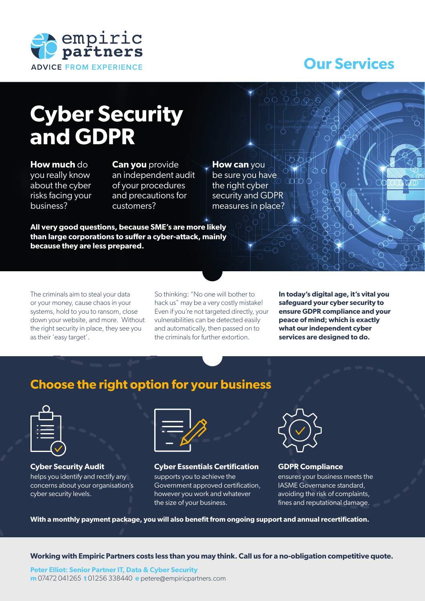

## **Our Services**

# **Cyber Security and GDPR**

#### **How much** do you really know about the cyber risks facing your business?

**Can you** provide an independent audit of your procedures and precautions for customers?

**All very good questions, because SME's are more likely than large corporations to suffer a cyber-attack, mainly because they are less prepared.**

**How can** you be sure you have the right cyber security and GDPR measures in place?

The criminals aim to steal your data or your money, cause chaos in your systems, hold to you to ransom, close down your website, and more. Without the right security in place, they see you as their 'easy target'.

So thinking: "No one will bother to hack us" may be a very costly mistake! Even if you're not targeted directly, your vulnerabilities can be detected easily and automatically, then passed on to the criminals for further extortion.

**In today's digital age, it's vital you safeguard your cyber security to ensure GDPR compliance and your peace of mind; which is exactly what our independent cyber services are designed to do.** 

### **Choose the right option for your business**



**Cyber Security Audit** helps you identify and rectify any concerns about your organisation's cyber security levels.



**Cyber Essentials Certification** supports you to achieve the Government approved certification, however you work and whatever the size of your business.



**GDPR Compliance** ensures your business meets the IASME Governance standard, avoiding the risk of complaints, fines and reputational damage.

**With a monthly payment package, you will also benefit from ongoing support and annual recertification.**

**Working with Empiric Partners costs less than you may think. Call us for a no-obligation competitive quote.**

**Peter Elliot: Senior Partner IT, Data & Cyber Security m** 07472 041265 **t** 01256 338440 **e** petere@empiricpartners.com